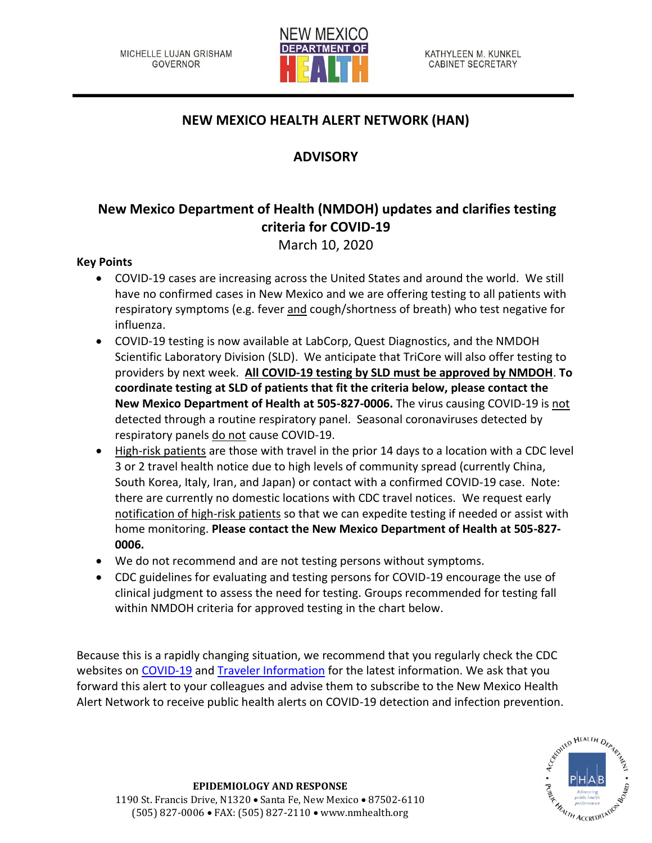

## **NEW MEXICO HEALTH ALERT NETWORK (HAN)**

## **ADVISORY**

# **New Mexico Department of Health (NMDOH) updates and clarifies testing criteria for COVID-19**

March 10, 2020

### **Key Points**

- COVID-19 cases are increasing across the United States and around the world. We still have no confirmed cases in New Mexico and we are offering testing to all patients with respiratory symptoms (e.g. fever and cough/shortness of breath) who test negative for influenza.
- COVID-19 testing is now available at LabCorp, Quest Diagnostics, and the NMDOH Scientific Laboratory Division (SLD). We anticipate that TriCore will also offer testing to providers by next week. **All COVID-19 testing by SLD must be approved by NMDOH**. **To coordinate testing at SLD of patients that fit the criteria below, please contact the New Mexico Department of Health at 505-827-0006.** The virus causing COVID-19 is not detected through a routine respiratory panel. Seasonal coronaviruses detected by respiratory panels do not cause COVID-19.
- High-risk patients are those with travel in the prior 14 days to a location with a CDC level 3 or 2 travel health notice due to high levels of community spread (currently China, South Korea, Italy, Iran, and Japan) or contact with a confirmed COVID-19 case. Note: there are currently no domestic locations with CDC travel notices. We request early notification of high-risk patients so that we can expedite testing if needed or assist with home monitoring. **Please contact the New Mexico Department of Health at 505-827- 0006.**
- We do not recommend and are not testing persons without symptoms.
- CDC guidelines for evaluating and testing persons for COVID-19 encourage the use of clinical judgment to assess the need for testing. Groups recommended for testing fall within NMDOH criteria for approved testing in the chart below.

Because this is a rapidly changing situation, we recommend that you regularly check the CDC websites on [COVID-19](https://www.cdc.gov/coronavirus/2019-ncov/index.html) and [Traveler Information](https://www.cdc.gov/coronavirus/2019-ncov/travelers/index.html) for the latest information. We ask that you forward this alert to your colleagues and advise them to subscribe to the New Mexico Health Alert Network to receive public health alerts on COVID-19 detection and infection prevention.

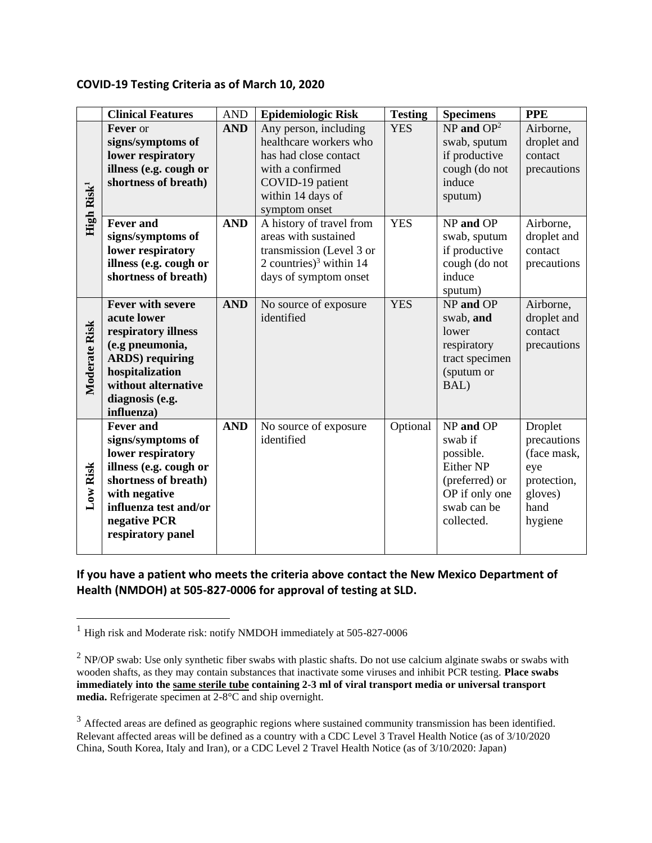#### **COVID-19 Testing Criteria as of March 10, 2020**

|                        | <b>Clinical Features</b>                                                                                                                                                                    | <b>AND</b> | <b>Epidemiologic Risk</b>                                                                                                                              | <b>Testing</b> | <b>Specimens</b>                                                                                                | <b>PPE</b>                                                                                |
|------------------------|---------------------------------------------------------------------------------------------------------------------------------------------------------------------------------------------|------------|--------------------------------------------------------------------------------------------------------------------------------------------------------|----------------|-----------------------------------------------------------------------------------------------------------------|-------------------------------------------------------------------------------------------|
| High Risk <sup>1</sup> | Fever or<br>signs/symptoms of<br>lower respiratory<br>illness (e.g. cough or<br>shortness of breath)                                                                                        | <b>AND</b> | Any person, including<br>healthcare workers who<br>has had close contact<br>with a confirmed<br>COVID-19 patient<br>within 14 days of<br>symptom onset | <b>YES</b>     | $NP$ and $OP2$<br>swab, sputum<br>if productive<br>cough (do not<br>induce<br>sputum)                           | Airborne,<br>droplet and<br>contact<br>precautions                                        |
|                        | <b>Fever and</b><br>signs/symptoms of<br>lower respiratory<br>illness (e.g. cough or<br>shortness of breath)                                                                                | <b>AND</b> | A history of travel from<br>areas with sustained<br>transmission (Level 3 or<br>2 countries) <sup>3</sup> within 14<br>days of symptom onset           | <b>YES</b>     | NP and OP<br>swab, sputum<br>if productive<br>cough (do not<br>induce<br>sputum)                                | Airborne,<br>droplet and<br>contact<br>precautions                                        |
| Moderate Risk          | <b>Fever with severe</b><br>acute lower<br>respiratory illness<br>(e.g pneumonia,<br><b>ARDS</b> ) requiring<br>hospitalization<br>without alternative<br>diagnosis (e.g.<br>influenza)     | <b>AND</b> | No source of exposure<br>identified                                                                                                                    | <b>YES</b>     | NP and OP<br>swab, and<br>lower<br>respiratory<br>tract specimen<br>(sputum or<br>BAL)                          | Airborne,<br>droplet and<br>contact<br>precautions                                        |
| Low Risk               | <b>Fever and</b><br>signs/symptoms of<br>lower respiratory<br>illness (e.g. cough or<br>shortness of breath)<br>with negative<br>influenza test and/or<br>negative PCR<br>respiratory panel | <b>AND</b> | No source of exposure<br>identified                                                                                                                    | Optional       | NP and OP<br>swab if<br>possible.<br>Either NP<br>(preferred) or<br>OP if only one<br>swab can be<br>collected. | Droplet<br>precautions<br>(face mask,<br>eye<br>protection,<br>gloves)<br>hand<br>hygiene |

**If you have a patient who meets the criteria above contact the New Mexico Department of Health (NMDOH) at 505-827-0006 for approval of testing at SLD.** 

<sup>&</sup>lt;sup>1</sup> High risk and Moderate risk: notify NMDOH immediately at 505-827-0006

 $2$  NP/OP swab: Use only synthetic fiber swabs with plastic shafts. Do not use calcium alginate swabs or swabs with wooden shafts, as they may contain substances that inactivate some viruses and inhibit PCR testing. **Place swabs immediately into the same sterile tube containing 2-3 ml of viral transport media or universal transport media.** Refrigerate specimen at 2-8°C and ship overnight.

<sup>&</sup>lt;sup>3</sup> Affected areas are defined as geographic regions where sustained community transmission has been identified. Relevant affected areas will be defined as a country with a CDC Level 3 Travel Health Notice (as of 3/10/2020 China, South Korea, Italy and Iran), or a CDC Level 2 Travel Health Notice (as of 3/10/2020: Japan)